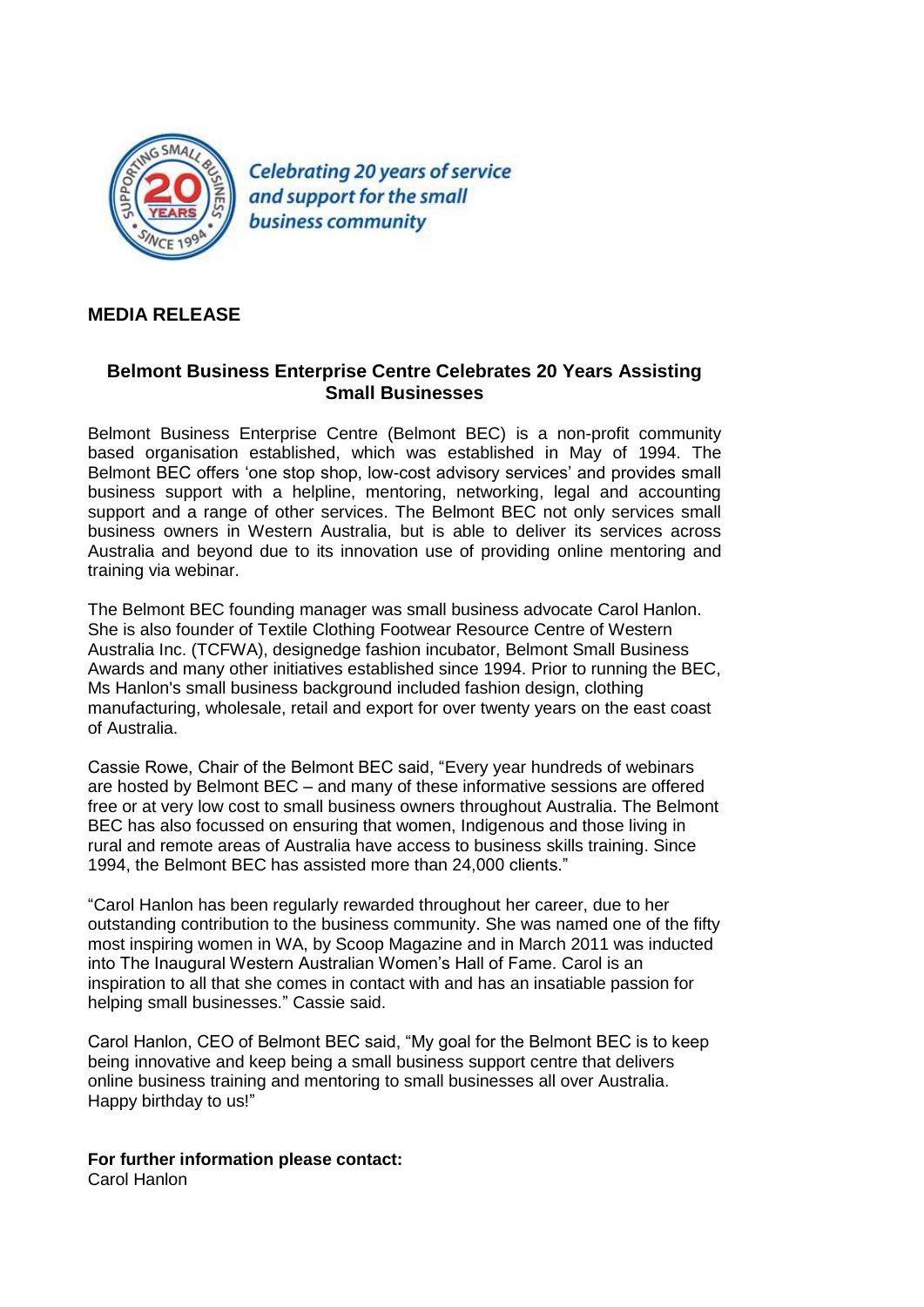

**Celebrating 20 years of service** and support for the small **business community** 

## **MEDIA RELEASE**

## **Belmont Business Enterprise Centre Celebrates 20 Years Assisting Small Businesses**

Belmont Business Enterprise Centre (Belmont BEC) is a non-profit community based organisation established, which was established in May of 1994. The Belmont BEC offers 'one stop shop, low-cost advisory services' and provides small business support with a helpline, mentoring, networking, legal and accounting support and a range of other services. The Belmont BEC not only services small business owners in Western Australia, but is able to deliver its services across Australia and beyond due to its innovation use of providing online mentoring and training via webinar.

The Belmont BEC founding manager was small business advocate Carol Hanlon. She is also founder of Textile Clothing Footwear Resource Centre of Western Australia Inc. (TCFWA), designedge fashion incubator, Belmont Small Business Awards and many other initiatives established since 1994. Prior to running the BEC, Ms Hanlon's small business background included fashion design, clothing manufacturing, wholesale, retail and export for over twenty years on the east coast of Australia.

Cassie Rowe, Chair of the Belmont BEC said, "Every year hundreds of webinars are hosted by Belmont BEC – and many of these informative sessions are offered free or at very low cost to small business owners throughout Australia. The Belmont BEC has also focussed on ensuring that women, Indigenous and those living in rural and remote areas of Australia have access to business skills training. Since 1994, the Belmont BEC has assisted more than 24,000 clients."

"Carol Hanlon has been regularly rewarded throughout her career, due to her outstanding contribution to the business community. She was named one of the fifty most inspiring women in WA, by Scoop Magazine and in March 2011 was inducted into The Inaugural Western Australian Women's Hall of Fame. Carol is an inspiration to all that she comes in contact with and has an insatiable passion for helping small businesses." Cassie said.

Carol Hanlon, CEO of Belmont BEC said, "My goal for the Belmont BEC is to keep being innovative and keep being a small business support centre that delivers online business training and mentoring to small businesses all over Australia. Happy birthday to us!"

**For further information please contact:**

Carol Hanlon